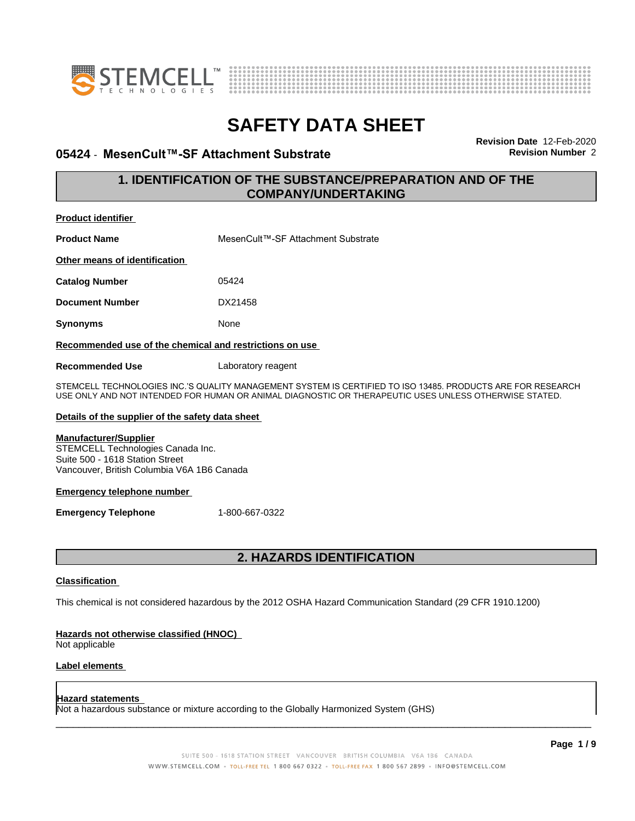



### **05424 · MesenCult™-SF Attachment Substrate Revision Revision** Number 2

**Revision Date** 12-Feb-2020

### **1. IDENTIFICATION OF THE SUBSTANCE/PREPARATION AND OF THE COMPANY/UNDERTAKING**

| <b>Product identifier</b>                               |                                                                                                             |  |
|---------------------------------------------------------|-------------------------------------------------------------------------------------------------------------|--|
| <b>Product Name</b>                                     | MesenCult™-SF Attachment Substrate                                                                          |  |
| Other means of identification                           |                                                                                                             |  |
| <b>Catalog Number</b>                                   | 05424                                                                                                       |  |
| <b>Document Number</b>                                  | DX21458                                                                                                     |  |
| <b>Synonyms</b>                                         | None                                                                                                        |  |
| Recommended use of the chemical and restrictions on use |                                                                                                             |  |
| <b>Recommended Use</b>                                  | Laboratory reagent                                                                                          |  |
|                                                         | RTEMAELL TEALINALOAIER INA 18 ALIALITY MANAAEMENT RYRTEM IR AEDTIFIER TO IRO 1940E. BRODLIATR ARE EOR REREZ |  |

STEMCELL TECHNOLOGIES INC.'S QUALITY MANAGEMENT SYSTEM IS CERTIFIED TO ISO 13485. PRODUCTS ARE FOR RESEARCH USE ONLY AND NOT INTENDED FOR HUMAN OR ANIMAL DIAGNOSTIC OR THERAPEUTIC USES UNLESS OTHERWISE STATED.

### **Details of the supplier of the safety data sheet**

### **Manufacturer/Supplier**

STEMCELL Technologies Canada Inc. Suite 500 - 1618 Station Street Vancouver, British Columbia V6A 1B6 Canada

### **Emergency telephone number**

**Emergency Telephone** 1-800-667-0322

### **2. HAZARDS IDENTIFICATION**

### **Classification**

This chemical is not considered hazardous by the 2012 OSHA Hazard Communication Standard (29 CFR 1910.1200)

### **Hazards not otherwise classified (HNOC)**

Not applicable

### **Label elements**

#### **Hazard statements**

Not a hazardous substance or mixture according to the Globally Harmonized System (GHS)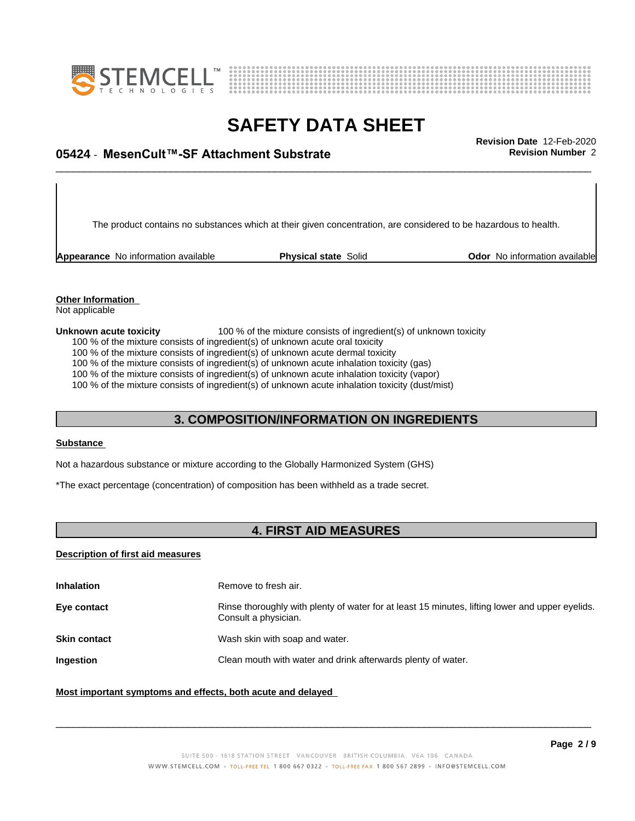



# \_\_\_\_\_\_\_\_\_\_\_\_\_\_\_\_\_\_\_\_\_\_\_\_\_\_\_\_\_\_\_\_\_\_\_\_\_\_\_\_\_\_\_\_\_\_\_\_\_\_\_\_\_\_\_\_\_\_\_\_\_\_\_\_\_\_\_\_\_\_\_\_\_\_\_\_\_\_\_\_\_\_\_\_\_\_\_\_\_\_\_\_\_ **Revision Date** 12-Feb-2020 **05424 ⋅ MesenCult™-SF Attachment Substrate Revision Number** 2

The product contains no substances which at their given concentration, are considered to be hazardous to health.

**Appearance** No information available **Physical state** Solid **Department Constructs** Odor No information available

#### **Other Information** Not applicable

**Unknown acute toxicity** 100 % of the mixture consists of ingredient(s) of unknown toxicity

100 % of the mixture consists of ingredient(s) of unknown acute oral toxicity

100 % of the mixture consists of ingredient(s) of unknown acute dermal toxicity

100 % of the mixture consists of ingredient(s) of unknown acute inhalation toxicity (gas)

100 % of the mixture consists of ingredient(s) of unknown acute inhalation toxicity (vapor)

100 % of the mixture consists of ingredient(s) of unknown acute inhalation toxicity (dust/mist)

### **3. COMPOSITION/INFORMATION ON INGREDIENTS**

### **Substance**

Not a hazardous substance or mixture according to the Globally Harmonized System (GHS)

\*The exact percentage (concentration) of composition has been withheld as a trade secret.

## **4. FIRST AID MEASURES**

### **Description of first aid measures**

| <b>Inhalation</b>   | Remove to fresh air.                                                                                                    |
|---------------------|-------------------------------------------------------------------------------------------------------------------------|
| Eye contact         | Rinse thoroughly with plenty of water for at least 15 minutes, lifting lower and upper eyelids.<br>Consult a physician. |
| <b>Skin contact</b> | Wash skin with soap and water.                                                                                          |
| <b>Ingestion</b>    | Clean mouth with water and drink afterwards plenty of water.                                                            |
|                     |                                                                                                                         |

### **Most important symptoms and effects, both acute and delayed**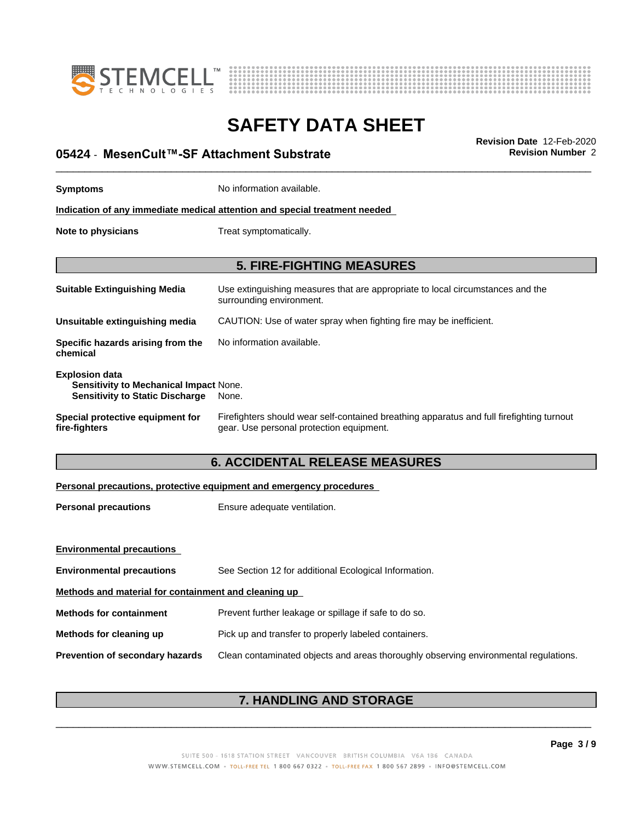



# \_\_\_\_\_\_\_\_\_\_\_\_\_\_\_\_\_\_\_\_\_\_\_\_\_\_\_\_\_\_\_\_\_\_\_\_\_\_\_\_\_\_\_\_\_\_\_\_\_\_\_\_\_\_\_\_\_\_\_\_\_\_\_\_\_\_\_\_\_\_\_\_\_\_\_\_\_\_\_\_\_\_\_\_\_\_\_\_\_\_\_\_\_ **Revision Date** 12-Feb-2020 **05424 ⋅ MesenCult™-SF Attachment Substrate Revision Number** 2

| <b>Symptoms</b>                                                                                                    | No information available.                                                                                                             |  |
|--------------------------------------------------------------------------------------------------------------------|---------------------------------------------------------------------------------------------------------------------------------------|--|
| Indication of any immediate medical attention and special treatment needed                                         |                                                                                                                                       |  |
| Note to physicians                                                                                                 | Treat symptomatically.                                                                                                                |  |
|                                                                                                                    | <b>5. FIRE-FIGHTING MEASURES</b>                                                                                                      |  |
| <b>Suitable Extinguishing Media</b>                                                                                | Use extinguishing measures that are appropriate to local circumstances and the<br>surrounding environment.                            |  |
| Unsuitable extinguishing media                                                                                     | CAUTION: Use of water spray when fighting fire may be inefficient.                                                                    |  |
| Specific hazards arising from the<br>chemical                                                                      | No information available.                                                                                                             |  |
| <b>Explosion data</b><br>Sensitivity to Mechanical Impact None.<br><b>Sensitivity to Static Discharge</b><br>None. |                                                                                                                                       |  |
| Special protective equipment for<br>fire-fighters                                                                  | Firefighters should wear self-contained breathing apparatus and full firefighting turnout<br>gear. Use personal protection equipment. |  |
| <b>6. ACCIDENTAL RELEASE MEASURES</b>                                                                              |                                                                                                                                       |  |
| Personal precautions, protective equipment and emergency procedures                                                |                                                                                                                                       |  |

| <b>Personal precautions</b> | Ensure adequate ventilation. |
|-----------------------------|------------------------------|
|                             |                              |

| <b>Environmental precautions</b>                     |                                                                                      |  |
|------------------------------------------------------|--------------------------------------------------------------------------------------|--|
| <b>Environmental precautions</b>                     | See Section 12 for additional Ecological Information.                                |  |
| Methods and material for containment and cleaning up |                                                                                      |  |
| <b>Methods for containment</b>                       | Prevent further leakage or spillage if safe to do so.                                |  |
| Methods for cleaning up                              | Pick up and transfer to properly labeled containers.                                 |  |
| <b>Prevention of secondary hazards</b>               | Clean contaminated objects and areas thoroughly observing environmental regulations. |  |
|                                                      |                                                                                      |  |

## **7. HANDLING AND STORAGE**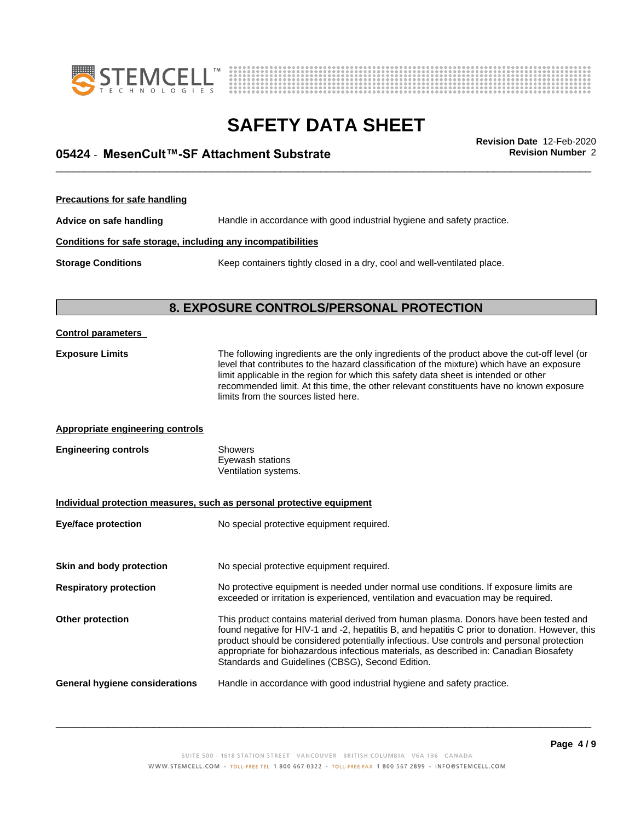



# \_\_\_\_\_\_\_\_\_\_\_\_\_\_\_\_\_\_\_\_\_\_\_\_\_\_\_\_\_\_\_\_\_\_\_\_\_\_\_\_\_\_\_\_\_\_\_\_\_\_\_\_\_\_\_\_\_\_\_\_\_\_\_\_\_\_\_\_\_\_\_\_\_\_\_\_\_\_\_\_\_\_\_\_\_\_\_\_\_\_\_\_\_ **Revision Date** 12-Feb-2020 **05424 ⋅ MesenCult™-SF Attachment Substrate Revision Number** 2

**Precautions for safe handling Advice on safe handling** Handle in accordance with good industrial hygiene and safety practice. **Conditions for safe storage, including any incompatibilities Storage Conditions** Keep containers tightly closed in a dry, cool and well-ventilated place.

## **8. EXPOSURE CONTROLS/PERSONAL PROTECTION**

| <b>Control parameters</b>        |                                                                                                                                                                                                                                                                                                                                                                                                                                    |
|----------------------------------|------------------------------------------------------------------------------------------------------------------------------------------------------------------------------------------------------------------------------------------------------------------------------------------------------------------------------------------------------------------------------------------------------------------------------------|
| <b>Exposure Limits</b>           | The following ingredients are the only ingredients of the product above the cut-off level (or<br>level that contributes to the hazard classification of the mixture) which have an exposure<br>limit applicable in the region for which this safety data sheet is intended or other<br>recommended limit. At this time, the other relevant constituents have no known exposure<br>limits from the sources listed here.             |
| Appropriate engineering controls |                                                                                                                                                                                                                                                                                                                                                                                                                                    |
| <b>Engineering controls</b>      | <b>Showers</b><br>Eyewash stations<br>Ventilation systems.                                                                                                                                                                                                                                                                                                                                                                         |
|                                  | Individual protection measures, such as personal protective equipment                                                                                                                                                                                                                                                                                                                                                              |
| <b>Eye/face protection</b>       | No special protective equipment required.                                                                                                                                                                                                                                                                                                                                                                                          |
| Skin and body protection         | No special protective equipment required.                                                                                                                                                                                                                                                                                                                                                                                          |
| <b>Respiratory protection</b>    | No protective equipment is needed under normal use conditions. If exposure limits are<br>exceeded or irritation is experienced, ventilation and evacuation may be required.                                                                                                                                                                                                                                                        |
| Other protection                 | This product contains material derived from human plasma. Donors have been tested and<br>found negative for HIV-1 and -2, hepatitis B, and hepatitis C prior to donation. However, this<br>product should be considered potentially infectious. Use controls and personal protection<br>appropriate for biohazardous infectious materials, as described in: Canadian Biosafety<br>Standards and Guidelines (CBSG), Second Edition. |
| General hygiene considerations   | Handle in accordance with good industrial hygiene and safety practice.                                                                                                                                                                                                                                                                                                                                                             |
|                                  |                                                                                                                                                                                                                                                                                                                                                                                                                                    |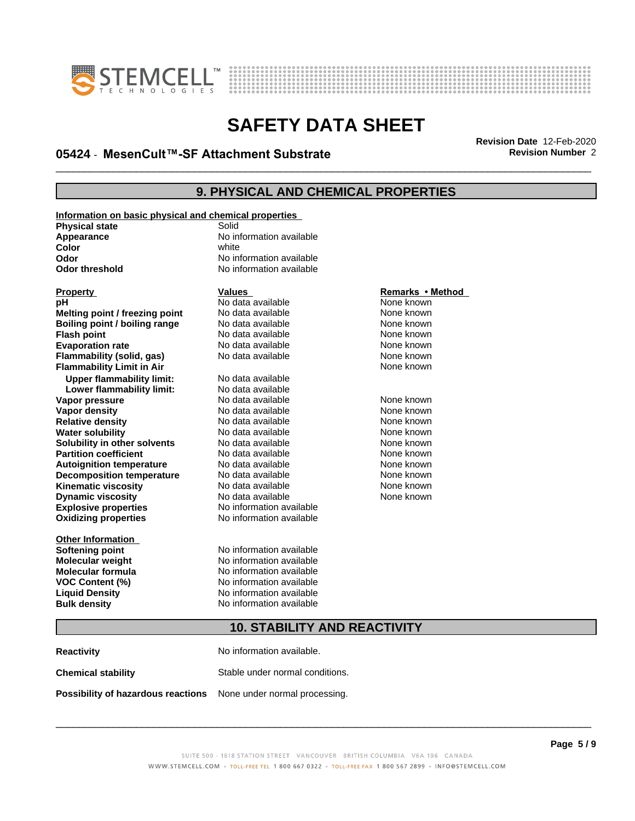



# \_\_\_\_\_\_\_\_\_\_\_\_\_\_\_\_\_\_\_\_\_\_\_\_\_\_\_\_\_\_\_\_\_\_\_\_\_\_\_\_\_\_\_\_\_\_\_\_\_\_\_\_\_\_\_\_\_\_\_\_\_\_\_\_\_\_\_\_\_\_\_\_\_\_\_\_\_\_\_\_\_\_\_\_\_\_\_\_\_\_\_\_\_ **Revision Date** 12-Feb-2020 **05424 ⋅ MesenCult™-SF Attachment Substrate Revision Number** 2

### **9. PHYSICAL AND CHEMICAL PROPERTIES**

| Information on basic physical and chemical properties |                          |                  |
|-------------------------------------------------------|--------------------------|------------------|
| <b>Physical state</b>                                 | Solid                    |                  |
| Appearance                                            | No information available |                  |
| Color                                                 | white                    |                  |
| Odor                                                  | No information available |                  |
| <b>Odor threshold</b>                                 | No information available |                  |
|                                                       |                          |                  |
| <b>Property</b>                                       | <b>Values</b>            | Remarks • Method |
| рH                                                    | No data available        | None known       |
| Melting point / freezing point                        | No data available        | None known       |
| Boiling point / boiling range                         | No data available        | None known       |
| <b>Flash point</b>                                    | No data available        | None known       |
| <b>Evaporation rate</b>                               | No data available        | None known       |
| Flammability (solid, gas)                             | No data available        | None known       |
| <b>Flammability Limit in Air</b>                      |                          | None known       |
| <b>Upper flammability limit:</b>                      | No data available        |                  |
| Lower flammability limit:                             | No data available        |                  |
| Vapor pressure                                        | No data available        | None known       |
| Vapor density                                         | No data available        | None known       |
| <b>Relative density</b>                               | No data available        | None known       |
| <b>Water solubility</b>                               | No data available        | None known       |
| Solubility in other solvents                          | No data available        | None known       |
| <b>Partition coefficient</b>                          | No data available        | None known       |
| <b>Autoignition temperature</b>                       | No data available        | None known       |
| <b>Decomposition temperature</b>                      | No data available        | None known       |
| <b>Kinematic viscosity</b>                            | No data available        | None known       |
| <b>Dynamic viscosity</b>                              | No data available        | None known       |
| <b>Explosive properties</b>                           | No information available |                  |
| <b>Oxidizing properties</b>                           | No information available |                  |
|                                                       |                          |                  |
| <b>Other Information</b>                              |                          |                  |
| <b>Softening point</b>                                | No information available |                  |
| <b>Molecular weight</b>                               | No information available |                  |
| <b>Molecular formula</b>                              | No information available |                  |
| <b>VOC Content (%)</b>                                | No information available |                  |
| <b>Liquid Density</b>                                 | No information available |                  |
| <b>Bulk density</b>                                   | No information available |                  |
|                                                       |                          |                  |

### **Remarks** • Method

## **10. STABILITY AND REACTIVITY**

| <b>Reactivity</b>                                                       | No information available.       |
|-------------------------------------------------------------------------|---------------------------------|
| <b>Chemical stability</b>                                               | Stable under normal conditions. |
| <b>Possibility of hazardous reactions</b> None under normal processing. |                                 |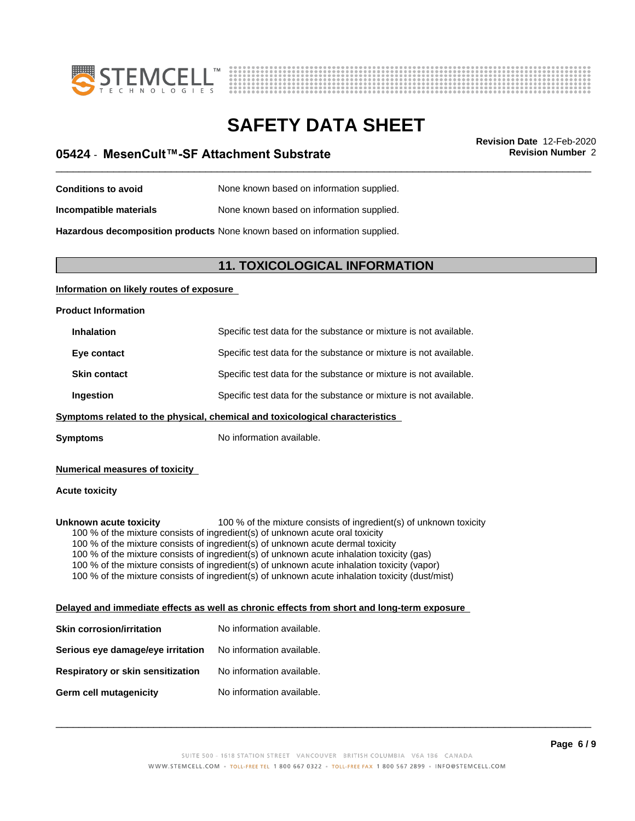



# \_\_\_\_\_\_\_\_\_\_\_\_\_\_\_\_\_\_\_\_\_\_\_\_\_\_\_\_\_\_\_\_\_\_\_\_\_\_\_\_\_\_\_\_\_\_\_\_\_\_\_\_\_\_\_\_\_\_\_\_\_\_\_\_\_\_\_\_\_\_\_\_\_\_\_\_\_\_\_\_\_\_\_\_\_\_\_\_\_\_\_\_\_ **Revision Date** 12-Feb-2020 **05424 ⋅ MesenCult™-SF Attachment Substrate Revision Number** 2

**Conditions to avoid** None known based on information supplied. **Incompatible materials** None known based on information supplied.

**Hazardous decomposition products** None known based on information supplied.

### **11. TOXICOLOGICAL INFORMATION**

### **Information on likely routes of exposure**

**Product Information**

| <b>Inhalation</b>   | Specific test data for the substance or mixture is not available. |
|---------------------|-------------------------------------------------------------------|
| Eye contact         | Specific test data for the substance or mixture is not available. |
| <b>Skin contact</b> | Specific test data for the substance or mixture is not available. |
| Ingestion           | Specific test data for the substance or mixture is not available. |

### **<u>Symptoms related to the physical, chemical and toxicological characteristics</u>**

**Symptoms** No information available.

### **Numerical measures of toxicity**

### **Acute toxicity**

**Unknown acute toxicity** 100 % of the mixture consists of ingredient(s) of unknown toxicity 100 % of the mixture consists of ingredient(s) of unknown acute oral toxicity 100 % of the mixture consists of ingredient(s) of unknown acute dermal toxicity 100 % of the mixture consists of ingredient(s) of unknown acute inhalation toxicity (gas) 100 % of the mixture consists of ingredient(s) of unknown acute inhalation toxicity (vapor)

100 % of the mixture consists of ingredient(s) of unknown acute inhalation toxicity (dust/mist)

### **Delayed and immediate effects as well as chronic effects from short and long-term exposure**

| Skin corrosion/irritation         | No information available. |
|-----------------------------------|---------------------------|
| Serious eye damage/eye irritation | No information available. |
| Respiratory or skin sensitization | No information available. |
| Germ cell mutagenicity            | No information available. |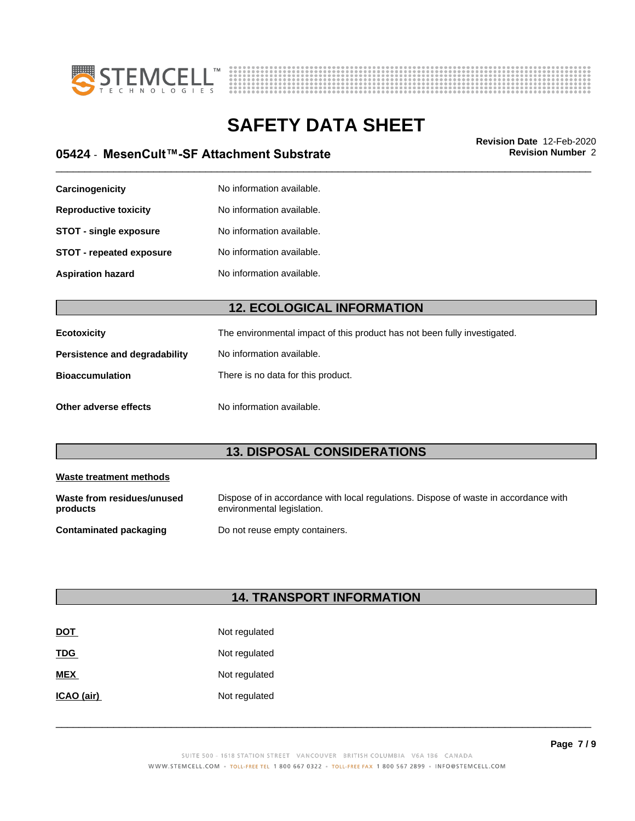



\_\_\_\_\_\_\_\_\_\_\_\_\_\_\_\_\_\_\_\_\_\_\_\_\_\_\_\_\_\_\_\_\_\_\_\_\_\_\_\_\_\_\_\_\_\_\_\_\_\_\_\_\_\_\_\_\_\_\_\_\_\_\_\_\_\_\_\_\_\_\_\_\_\_\_\_\_\_\_\_\_\_\_\_\_\_\_\_\_\_\_\_\_ **Revision Date** 12-Feb-2020 **05424 ⋅ MesenCult™-SF Attachment Substrate Revision Number** 2

| Carcinogenicity                 | No information available. |
|---------------------------------|---------------------------|
| <b>Reproductive toxicity</b>    | No information available. |
| <b>STOT - single exposure</b>   | No information available. |
| <b>STOT - repeated exposure</b> | No information available. |
| <b>Aspiration hazard</b>        | No information available. |

### **12. ECOLOGICAL INFORMATION**

| Ecotoxicity                   | The environmental impact of this product has not been fully investigated. |
|-------------------------------|---------------------------------------------------------------------------|
| Persistence and degradability | No information available.                                                 |
| <b>Bioaccumulation</b>        | There is no data for this product.                                        |
| Other adverse effects         | No information available.                                                 |

## **13. DISPOSAL CONSIDERATIONS**

| Waste treatment methods                |                                                                                                                    |
|----------------------------------------|--------------------------------------------------------------------------------------------------------------------|
| Waste from residues/unused<br>products | Dispose of in accordance with local regulations. Dispose of waste in accordance with<br>environmental legislation. |
| Contaminated packaging                 | Do not reuse empty containers.                                                                                     |

## **14. TRANSPORT INFORMATION**

| <b>DOT</b> | Not regulated |
|------------|---------------|
| <b>TDG</b> | Not regulated |
| <b>MEX</b> | Not regulated |
| ICAO (air) | Not regulated |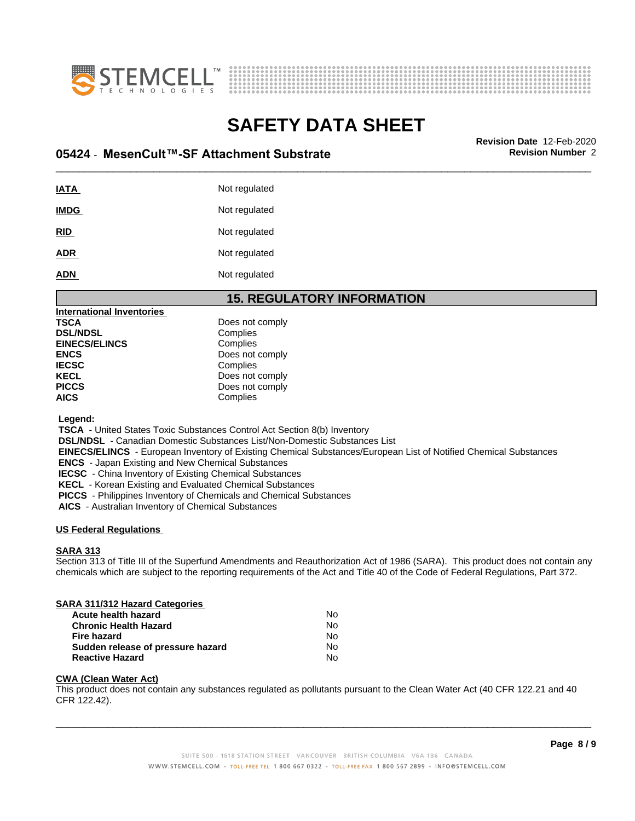



# \_\_\_\_\_\_\_\_\_\_\_\_\_\_\_\_\_\_\_\_\_\_\_\_\_\_\_\_\_\_\_\_\_\_\_\_\_\_\_\_\_\_\_\_\_\_\_\_\_\_\_\_\_\_\_\_\_\_\_\_\_\_\_\_\_\_\_\_\_\_\_\_\_\_\_\_\_\_\_\_\_\_\_\_\_\_\_\_\_\_\_\_\_ **Revision Date** 12-Feb-2020 **05424 ⋅ MesenCult™-SF Attachment Substrate Revision Number** 2

| <b>IATA</b> | Not regulated |
|-------------|---------------|
| <b>IMDG</b> | Not regulated |
| <b>RID</b>  | Not regulated |
| <b>ADR</b>  | Not regulated |
| <b>ADN</b>  | Not regulated |

### **15. REGULATORY INFORMATION**

| <b>International Inventories</b> |                 |
|----------------------------------|-----------------|
| <b>TSCA</b>                      | Does not comply |
| <b>DSL/NDSL</b>                  | Complies        |
| <b>EINECS/ELINCS</b>             | Complies        |
| <b>ENCS</b>                      | Does not comply |
| <b>IECSC</b>                     | Complies        |
| <b>KECL</b>                      | Does not comply |
| <b>PICCS</b>                     | Does not comply |
| <b>AICS</b>                      | Complies        |

 **Legend:**

 **TSCA** - United States Toxic Substances Control Act Section 8(b) Inventory

 **DSL/NDSL** - Canadian Domestic Substances List/Non-Domestic Substances List

 **EINECS/ELINCS** - European Inventory of Existing Chemical Substances/European List of Notified Chemical Substances

 **ENCS** - Japan Existing and New Chemical Substances

 **IECSC** - China Inventory of Existing Chemical Substances

 **KECL** - Korean Existing and Evaluated Chemical Substances

 **PICCS** - Philippines Inventory of Chemicals and Chemical Substances

 **AICS** - Australian Inventory of Chemical Substances

### **US Federal Regulations**

### **SARA 313**

Section 313 of Title III of the Superfund Amendments and Reauthorization Act of 1986 (SARA). This product does not contain any chemicals which are subject to the reporting requirements of the Act and Title 40 of the Code of Federal Regulations, Part 372.

### **SARA 311/312 Hazard Categories**

| Acute health hazard               | No |
|-----------------------------------|----|
| <b>Chronic Health Hazard</b>      | N٥ |
| Fire hazard                       | Nο |
| Sudden release of pressure hazard | No |
| <b>Reactive Hazard</b>            | No |

### **CWA (Clean WaterAct)**

This product does not contain any substances regulated as pollutants pursuant to the Clean Water Act (40 CFR 122.21 and 40 CFR 122.42).